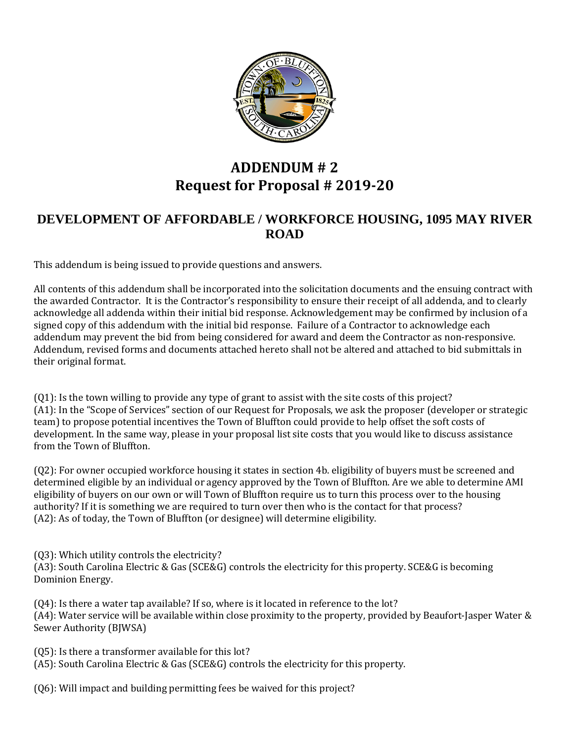

## **ADDENDUM # 2 Request for Proposal # 2019-20**

## **DEVELOPMENT OF AFFORDABLE / WORKFORCE HOUSING, 1095 MAY RIVER ROAD**

This addendum is being issued to provide questions and answers.

All contents of this addendum shall be incorporated into the solicitation documents and the ensuing contract with the awarded Contractor. It is the Contractor's responsibility to ensure their receipt of all addenda, and to clearly acknowledge all addenda within their initial bid response. Acknowledgement may be confirmed by inclusion of a signed copy of this addendum with the initial bid response. Failure of a Contractor to acknowledge each addendum may prevent the bid from being considered for award and deem the Contractor as non-responsive. Addendum, revised forms and documents attached hereto shall not be altered and attached to bid submittals in their original format.

(Q1): Is the town willing to provide any type of grant to assist with the site costs of this project? (A1): In the "Scope of Services" section of our Request for Proposals, we ask the proposer (developer or strategic team) to propose potential incentives the Town of Bluffton could provide to help offset the soft costs of development. In the same way, please in your proposal list site costs that you would like to discuss assistance from the Town of Bluffton.

(Q2): For owner occupied workforce housing it states in section 4b. eligibility of buyers must be screened and determined eligible by an individual or agency approved by the Town of Bluffton. Are we able to determine AMI eligibility of buyers on our own or will Town of Bluffton require us to turn this process over to the housing authority? If it is something we are required to turn over then who is the contact for that process? (A2): As of today, the Town of Bluffton (or designee) will determine eligibility.

(Q3): Which utility controls the electricity?

(A3): South Carolina Electric & Gas (SCE&G) controls the electricity for this property. SCE&G is becoming Dominion Energy.

(Q4): Is there a water tap available? If so, where is it located in reference to the lot? (A4): Water service will be available within close proximity to the property, provided by Beaufort-Jasper Water & Sewer Authority (BJWSA)

(Q5): Is there a transformer available for this lot?

(A5): South Carolina Electric & Gas (SCE&G) controls the electricity for this property.

(Q6): Will impact and building permitting fees be waived for this project?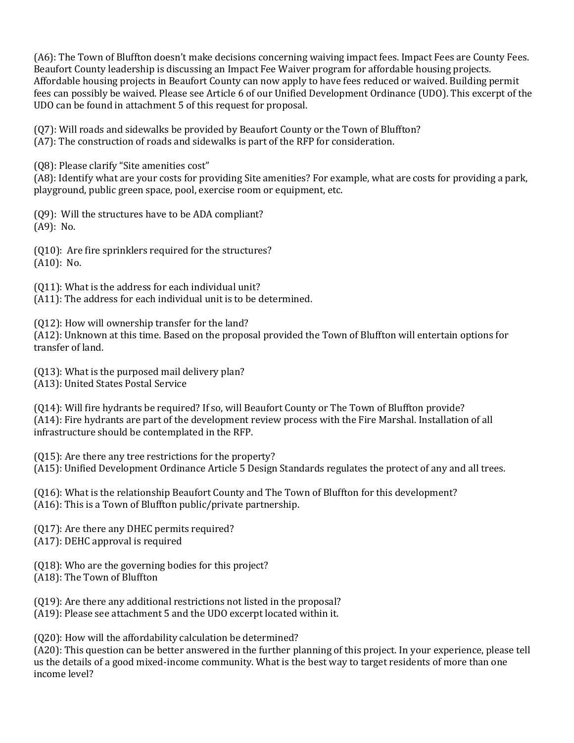(A6): The Town of Bluffton doesn't make decisions concerning waiving impact fees. Impact Fees are County Fees. Beaufort County leadership is discussing an Impact Fee Waiver program for affordable housing projects. Affordable housing projects in Beaufort County can now apply to have fees reduced or waived. Building permit fees can possibly be waived. Please see Article 6 of our Unified Development Ordinance (UDO). This excerpt of the UDO can be found in attachment 5 of this request for proposal.

(Q7): Will roads and sidewalks be provided by Beaufort County or the Town of Bluffton?

(A7): The construction of roads and sidewalks is part of the RFP for consideration.

(Q8): Please clarify "Site amenities cost"

(A8): Identify what are your costs for providing Site amenities? For example, what are costs for providing a park, playground, public green space, pool, exercise room or equipment, etc.

(Q9): Will the structures have to be ADA compliant? (A9): No.

(Q10): Are fire sprinklers required for the structures? (A10): No.

(Q11): What is the address for each individual unit? (A11): The address for each individual unit is to be determined.

(Q12): How will ownership transfer for the land?

(A12): Unknown at this time. Based on the proposal provided the Town of Bluffton will entertain options for transfer of land.

(Q13): What is the purposed mail delivery plan?

(A13): United States Postal Service

(Q14): Will fire hydrants be required? If so, will Beaufort County or The Town of Bluffton provide? (A14): Fire hydrants are part of the development review process with the Fire Marshal. Installation of all infrastructure should be contemplated in the RFP.

(Q15): Are there any tree restrictions for the property? (A15): Unified Development Ordinance Article 5 Design Standards regulates the protect of any and all trees.

(Q16): What is the relationship Beaufort County and The Town of Bluffton for this development? (A16): This is a Town of Bluffton public/private partnership.

(Q17): Are there any DHEC permits required? (A17): DEHC approval is required

(Q18): Who are the governing bodies for this project?

(A18): The Town of Bluffton

(Q19): Are there any additional restrictions not listed in the proposal?

(A19): Please see attachment 5 and the UDO excerpt located within it.

(Q20): How will the affordability calculation be determined?

(A20): This question can be better answered in the further planning of this project. In your experience, please tell us the details of a good mixed-income community. What is the best way to target residents of more than one income level?